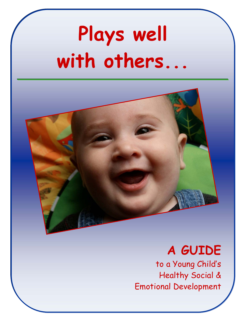# **Plays well with others...**



### **A GUIDE**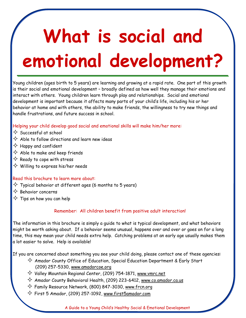# **What is social and emotional development?**

Young children (ages birth to 5 years) are learning and growing at a rapid rate. One part of this growth is their social and emotional development – broadly defined as how well they manage their emotions and interact with others. Young children learn through play and relationships. Social and emotional development is important because it affects many parts of your child's life, including his or her behavior at home and with others, the ability to make friends, the willingness to try new things and handle frustrations, and future success in school.

#### Helping your child develop good social and emotional skills will make him/her more:

- $\Diamond$  Successful at school
- $\diamondsuit$  Able to follow directions and learn new ideas
- $\Leftrightarrow$  Happy and confident
- $\diamondsuit$  Able to make and keep friends
- $\diamondsuit$  Ready to cope with stress
- $\diamondsuit$  Willing to express his/her needs

#### Read this brochure to learn more about:

- $\diamondsuit$  Typical behavior at different ages (6 months to 5 years)
- $\diamondsuit$  Behavior concerns
- $\diamondsuit$  Tips on how you can help

#### Remember: All children benefit from positive adult interaction!

The information in this brochure is simply a guide to what is typical development, and what behaviors might be worth asking about. If a behavior seems unusual, happens over and over or goes on for a long time, this may mean your child needs extra help. Catching problems at an early age usually makes them a lot easier to solve. Help is available!

If you are concerned about something you see your child doing, please contact one of these agencies:

- $\diamondsuit$  Amador County Office of Education, Special Education Department & Early Start (209) 257-5330, www.amadorcoe.org
- $\diamondsuit$  Valley Mountain Regional Center, (209) 754-1871, www.vmrc.net
- $\diamondsuit$  Amador County Behavioral Health, (209) 223-6412, <u>www.co.amador.ca.us</u>
- $\diamondsuit$  Family Resource Network, (800) 847-3030, www.frcn.org
- $\diamondsuit$  First 5 Amador, (209) 257-1092, www.first5amador.com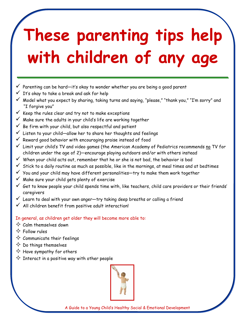## **These parenting tips help with children of any age**

- $\checkmark$  Parenting can be hard—it's okay to wonder whether you are being a good parent
- $\checkmark$  It's okay to take a break and ask for help
- $\checkmark$  Model what you expect by sharing, taking turns and saying, "please," "thank you," "I'm sorry" and "I forgive you"
- $\checkmark$  Keep the rules clear and try not to make exceptions
- $\checkmark$  Make sure the adults in your child's life are working together
- $\checkmark$  Be firm with your child, but also respectful and patient
- $\checkmark$  Listen to your child—allow her to share her thoughts and feelings
- $\checkmark$  Reward good behavior with encouraging praise instead of food
- $\checkmark$  Limit your child's TV and video games (the American Academy of Pediatrics recommends no TV for children under the age of 2)—encourage playing outdoors and/or with others instead
- $\checkmark$  When your child acts out, remember that he or she is not bad, the behavior is bad
- $\checkmark$  Stick to a daily routine as much as possible, like in the mornings, at meal times and at bedtimes
- $\checkmark$  You and your child may have different personalities—try to make them work together
- $\checkmark$  Make sure your child gets plenty of exercise
- $\checkmark$  Get to know people your child spends time with, like teachers, child care providers or their friends' caregivers
- $\checkmark$  Learn to deal with your own anger-try taking deep breaths or calling a friend
- $\checkmark$  All children benefit from positive adult interaction!

#### In general, as children get older they will become more able to:

- $\diamondsuit$  Calm themselves down
- $\Leftrightarrow$  Follow rules
- $\diamondsuit$  Communicate their feelings
- $\diamondsuit$  Do things themselves
- $\diamondsuit$  Have sympathy for others
- $\diamondsuit$  Interact in a positive way with other people

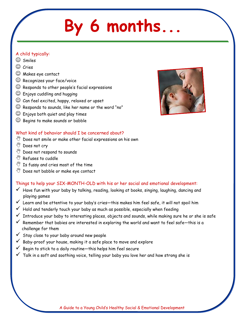### **By 6 months...**

#### A child typically:

- $\circledcirc$  Smiles
- Cries
- Makes eye contact
- $\odot$  Recognizes your face/voice
- $\mathbb G$  Responds to other people's facial expressions
- $\odot$  Enjoys cuddling and hugging
- $\odot$  Can feel excited, happy, relaxed or upset
- $\odot$  Responds to sounds, like her name or the word "no"
- $\odot$  Enjoys both quiet and play times
- $\odot$  Begins to make sounds or babble

#### What kind of behavior should I be concerned about?

- $\mathbb{W}$  Does not smile or make other facial expressions on his own
- <sup>w</sup> Does not cry
- $\mathbb{W}$  Does not respond to sounds
- $\sqrt[{\mathbb{M}]}$  Refuses to cuddle
- $\mathbb{Y}$  Is fussy and cries most of the time
- $\mathbb{W}$  Does not babble or make eye contact

#### Things to help your SIX-MONTH-OLD with his or her social and emotional development:

- $\checkmark$  Have fun with your baby by talking, reading, looking at books, singing, laughing, dancing and playing games
- $\checkmark$  Learn and be attentive to your baby's cries—this makes him feel safe, it will not spoil him
- $\checkmark$  Hold and tenderly touch your baby as much as possible, especially when feeding
- Introduce your baby to interesting places, objects and sounds, while making sure he or she is safe
- $\checkmark$  Remember that babies are interested in exploring the world and want to feel safe-this is a challenge for them
- $\checkmark$  Stay close to your baby around new people
- $\checkmark$  Baby-proof your house, making it a safe place to move and explore
- Begin to stick to a daily routine—this helps him feel secure
- $\checkmark$  Talk in a soft and soothing voice, telling your baby you love her and how strong she is

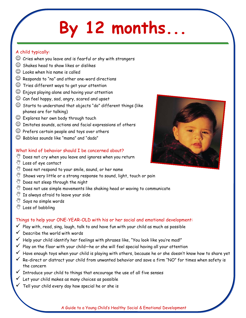### **By 12 months...**

#### A child typically:

- $\odot$  Cries when you leave and is fearful or shy with strangers
- $\odot$  Shakes head to show likes or dislikes
- $\odot$  Looks when his name is called
- $\odot$  Responds to "no" and other one-word directions
- $\odot$  Tries different ways to get your attention
- $\odot$  Enjoys playing alone and having your attention
- $\odot$  Can feel happy, sad, angry, scared and upset
- $\odot$  Starts to understand that objects "do" different things (like phones are for talking)
- $\odot$  Explores her own body through touch
- $\odot$  Imitates sounds, actions and facial expressions of others
- $\odot$  Prefers certain people and toys over others
- $\odot$  Babbles sounds like "mama" and "dada"

#### What kind of behavior should I be concerned about?

- $\mathbb{W}$  Does not cry when you leave and ignores when you return
- $\sqrt[3]{2}$  Loss of eye contact
- $\mathbb{S}^{\! \mathscr{U}}$  Does not respond to your smile, sound, or her name
- $\mathbb{W}$  Shows very little or a strong response to sound, light, touch or pain
- $\sqrt[6]{\hspace{0.1in}}$  Does not sleep through the night
- $\mathbb{Y}$  Does not use simple movements like shaking head or waving to communicate
- $\mathbb{Y}$  Is always afraid to leave your side
- $\sqrt[8]{\hspace*{1em}}$  Says no simple words
- **W** Loss of babbling

#### Things to help your ONE-YEAR-OLD with his or her social and emotional development:

- $\checkmark$  Play with, read, sing, laugh, talk to and have fun with your child as much as possible
- Describe the world with words
- Help your child identify her feelings with phrases like, "You look like you're mad!"
- Play on the floor with your child—he or she will feel special having all your attention
- Have enough toys when your child is playing with others, because he or she doesn't know how to share yet
- $\checkmark$  Re-direct or distract your child from unwanted behavior and save a firm "NO" for times when safety is the concern
- Introduce your child to things that encourage the use of all five senses
- $\checkmark$  Let your child makes as many choices as possible
- $\checkmark$  Tell your child every day how special he or she is

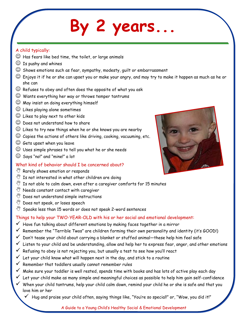### By 2 years.

#### A child typically:

- $\mathbb G$  Has fears like bed time, the toilet, or large animals
- $\circled{1}$  Is pushy and whines
- $\odot$  Shows emotions such as fear, sympathy, modesty, guilt or embarrassment
- $\mathbb G$  Enjoys it if he or she can upset you or make your angry, and may try to make it happen as much as he or she can
- $\mathbb{\odot}$  Refuses to obey and often does the opposite of what you ask
- $\odot$  Wants everything her way or throws temper tantrums
- $\odot$  May insist on doing everything himself
- $\odot$  Likes playing alone sometimes
- Likes to play next to other kids
- $\odot$  Does not understand how to share
- $\odot$  Likes to try new things when he or she knows you are nearby
- $\odot$  Copies the actions of others like driving, cooking, vacuuming, etc.
- $\odot$  Gets upset when you leave
- $\odot$  Uses simple phrases to tell you what he or she needs
- $\odot$  Says "no!" and "mine!" a lot

#### What kind of behavior should I be concerned about?

- $\sqrt[8]{\hspace*{1em}}$  Rarely shows emotion or responds
- $\mathbb{W}$  Is not interested in what other children are doing
- $\mathbb{Y}$  Is not able to calm down, even after a caregiver comforts for 15 minutes
- $\mathbb{W}$  Needs constant contact with caregiver
- $\mathbb{W}$  Does not understand simple instructions
- $\sqrt[30]{\hspace*{1.2cm}}$  Does not speak, or loses speech
- $\mathbb {V}$  Speaks less than 15 words or does not speak 2-word sentences

#### Things to help your TWO-YEAR-OLD with his or her social and emotional development:

- $\checkmark$  Have fun talking about different emotions by making faces together in a mirror
- $\checkmark$  Remember the "Terrible Twos" are children forming their own personality and identity (it's GOOD!)
- Don't tease your child about carrying a blanket or stuffed animal—these help him feel safe
- Listen to your child and be understanding, allow and help her to express fear, anger, and other emotions
- Refusing to obey is not rejecting you, but usually a test to see how you'll react
- Let your child know what will happen next in the day, and stick to a routine
- Remember that toddlers usually cannot remember rules
- $\checkmark$  Make sure your toddler is well rested, spends time with books and has lots of active play each day
- $\checkmark$  Let your child make as many simple and meaningful choices as possible to help him gain self-confidence
- $\checkmark$  . When your child tantrums, help your child calm down, remind your child he or she is safe and that you love him or her
	- $\checkmark$  Hug and praise your child often, saying things like, "You're so special!" or, "Wow, you did it!"



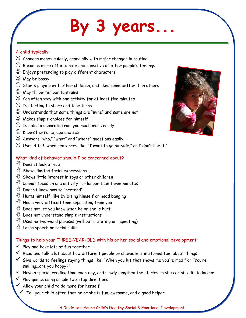### **By 3 years...**

#### A child typically:

- $\odot$  Changes moods quickly, especially with major changes in routine
- $\odot$  Becomes more affectionate and sensitive of other people's feelings
- $\odot$  Enjoys pretending to play different characters
- $\odot$  May be bossy
- $\odot$  Starts playing with other children, and likes some better than others
- $\circledcirc$  May throw temper tantrums
- $\mathbb G$  Can often stay with one activity for at least five minutes
- $\odot$  Is starting to share and take turns
- Understands that some things are "mine" and some are not
- $\odot$  Makes simple choices for himself
- $\odot$  Is able to separate from you much more easily
- $\odot$  Knows her name, age and sex
- $\odot$  Answers "who," "what" and "where" questions easily
- $\odot$  Uses 4 to 5 word sentences like, "I want to go outside," or I don't like it!"

#### What kind of behavior should I be concerned about?

- **Doesn't look at you**
- $\mathbb{S}^{\mathbb{N}}$  Shows limited facial expressions
- $\mathbb{S}^{\mathbb{N}}$  Shows little interest in toys or other children
- $\mathbb{C}^{\! \ell_0}$  Cannot focus on one activity for longer than three minutes
- $\sqrt[3]{\mathbb{V}}$  Doesn't know how to "pretend"
- $\mathbb{W}$  Hurts himself, like by biting himself or head banging
- $\mathbb{Y}$  Has a very difficult time separating from you
- $\mathbb{C}^{\! \! \! \mathscr{C}}$  Does not let you know when he or she is hurt
- $\mathbb{W}$  Does not understand simple instructions
- $\mathbb{W}$  Uses no two-word phrases (without imitating or repeating)
- $\mathbb{W}$  Loses speech or social skills

#### Things to help your THREE-YEAR-OLD with his or her social and emotional development:

- Play and have lots of fun together
- $\checkmark$  Read and talk a lot about how different people or characters in stories feel about things
- $\checkmark$  Give words to feelings saying things like, "When you hit that shows me you're mad," or "You're smiling...are you happy?"
- $\checkmark$  Have a special reading time each day, and slowly lengthen the stories so she can sit a little longer
- $\checkmark$  Play games using simple two-step directions
- $\checkmark$  Allow your child to do more for herself
	- $\checkmark$  Tell your child often that he or she is fun, awesome, and a good helper

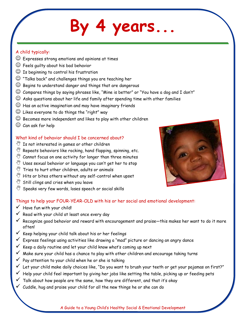### **By 4 years...**

#### A child typically:

- Expresses strong emotions and opinions at times
- $\odot$  Feels guilty about his bad behavior
- $\odot$  Is beginning to control his frustration
- $\odot$  "Talks back" and challenges things you are teaching her
- $\odot$  Begins to understand danger and things that are dangerous
- $\odot$  Compares things by saying phrases like, "Mine is better" or "You have a dog and I don't"
- $\mathbb{\odot}$  Asks questions about her life and family after spending time with other families
- $\odot$  Has an active imagination and may have imaginary friends
- $\odot$  Likes everyone to do things the "right" way
- $\mathbb G$  Becomes more independent and likes to play with other children
- $\odot$  Can ask for help

#### What kind of behavior should I be concerned about?

- $\mathbb{Y}$  Is not interested in games or other children
- $\mathbb{W}$  Repeats behaviors like rocking, hand flapping, spinning, etc.
- $\mathbb{C}^{\! \! \! \mathscr{C}}$  Cannot focus on one activity for longer than three minutes
- $\mathbb{Y}$  Uses sexual behavior or language you can't get her to stop
- $\sqrt[8]{\,}$  Tries to hurt other children, adults or animals
- $\mathbb{W}$  Hits or bites others without any self-control when upset
- $\sqrt[3]{\hspace{0.1in}5}$  Still clings and cries when you leave
- Speaks very few words, loses speech or social skills

#### Things to help your FOUR-YEAR-OLD with his or her social and emotional development:

- $\checkmark$  Have fun with your child!
- $\checkmark$  Read with your child at least once every day
- Recognize good behavior and reward with encouragement and praise—this makes her want to do it more often!
- Keep helping your child talk about his or her feelings
- Express feelings using activities like drawing a "mad" picture or dancing an angry dance
- Keep a daily routine and let your child know what's coming up next
- Make sure your child has a chance to play with other children and encourage taking turns
- Pay attention to your child when he or she is talking
- $\checkmark$  Let your child make daily choices like, "Do you want to brush your teeth or get your pajamas on first?"
- $\checkmark$  Help your child feel important by giving her jobs like setting the table, picking up or feeding pets
- $\checkmark$  Talk about how people are the same, how they are different, and that it's okay
- $\checkmark$  Cuddle, hug and praise your child for all the new things he or she can do

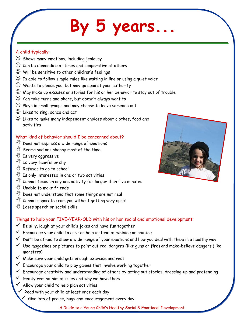## **By 5 years...**

#### A child typically:

- $\odot$  Shows many emotions, including jealousy
- $\odot$  Can be demanding at times and cooperative at others
- $\odot$  Will be sensitive to other children's feelings
- $\mathbb G$  Is able to follow simple rules like waiting in line or using a quiet voice
- $\odot$  Wants to please you, but may go against your authority
- $\mathbb G$  May make up excuses or stories for his or her behavior to stay out of trouble
- $\odot$  Can take turns and share, but doesn't always want to
- Plays in small groups and may choose to leave someone out
- Likes to sing, dance and act
- $\odot$  Likes to make many independent choices about clothes, food and activities

#### What kind of behavior should I be concerned about?

- $\mathbb{W}$  Does not express a wide range of emotions
- $\mathbb{S}^{\mathbb{N}}$  Seems sad or unhappy most of the time
- $\sqrt[3]{\hspace{1em}}$  Is very aggressive
- $\sqrt[3]{\mathbb{Y}}$  Is very fearful or shy
- $\sqrt[3]{\hspace*{1em}}$  Refuses to go to school
- $\mathbb{Y}$  Is only interested in one or two activities
- $\mathbb{W}$  Cannot focus on any one activity for longer than five minutes
- $\sqrt[3]{\hspace{0.1in}1}$  Unable to make friends
- $\mathbb{Y}$  Does not understand that some things are not real
- $\mathbb{C}^{\! \mathscr{C}}$  Cannot separate from you without getting very upset
- $\mathbb{W}$  Loses speech or social skills

#### Things to help your FIVE-YEAR-OLD with his or her social and emotional development:

- Be silly, laugh at your child's jokes and have fun together
- Encourage your child to ask for help instead of whining or pouting
- Don't be afraid to show a wide range of your emotions and how you deal with them in a healthy way
- Use magazines or pictures to point out real dangers (like guns or fire) and make-believe dangers (like monsters)
- Make sure your child gets enough exercise and rest
- Encourage your child to play games that involve working together
- $\checkmark$  Encourage creativity and understanding of others by acting out stories, dressing-up and pretending
- $\checkmark$  Gently remind him of rules and why we have them
- $\checkmark$  Allow your child to help plan activities
- $\checkmark$  Read with your child at least once each day
	- Give lots of praise, hugs and encouragement every day